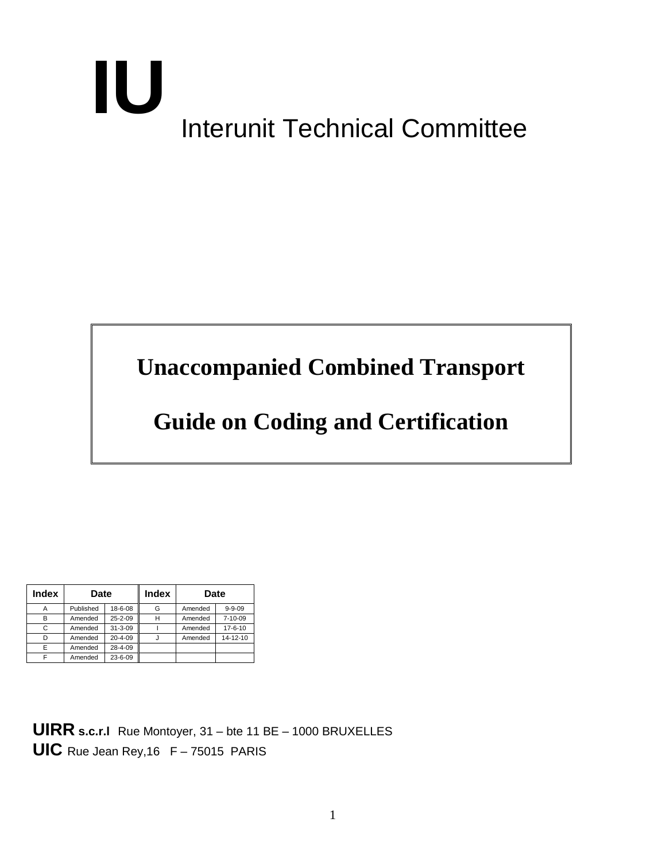# Interunit Technical Committee **IU**

# **Unaccompanied Combined Transport**

# **Guide on Coding and Certification**

| <b>Index</b> | <b>Date</b> |               | <b>Index</b> | <b>Date</b> |               |
|--------------|-------------|---------------|--------------|-------------|---------------|
|              | Published   | 18-6-08       | G            | Amended     | $9 - 9 - 09$  |
| B            | Amended     | $25 - 2 - 09$ | н            | Amended     | $7 - 10 - 09$ |
| C            | Amended     | $31 - 3 - 09$ |              | Amended     | $17 - 6 - 10$ |
| D            | Amended     | $20 - 4 - 09$ |              | Amended     | 14-12-10      |
| Е            | Amended     | 28-4-09       |              |             |               |
| ⊏            | Amended     | 23-6-09       |              |             |               |

**UIRR s.c.r.l** Rue Montoyer, 31 – bte 11 BE – 1000 BRUXELLES **UIC** Rue Jean Rey,16 F – 75015 PARIS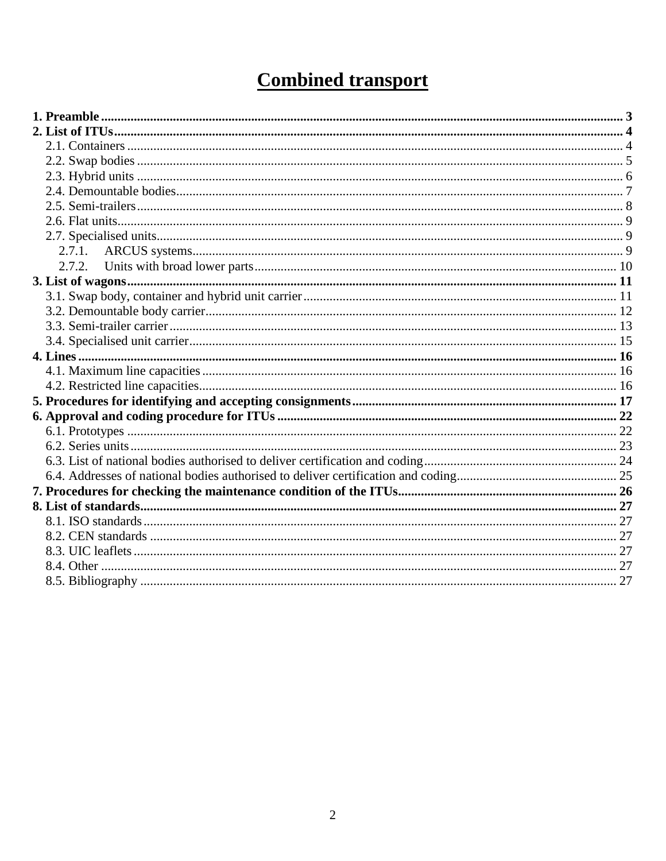## **Combined transport**

| 2.7.2. |  |
|--------|--|
|        |  |
|        |  |
|        |  |
|        |  |
|        |  |
|        |  |
|        |  |
|        |  |
|        |  |
|        |  |
|        |  |
|        |  |
|        |  |
|        |  |
|        |  |
|        |  |
|        |  |
|        |  |
|        |  |
|        |  |
|        |  |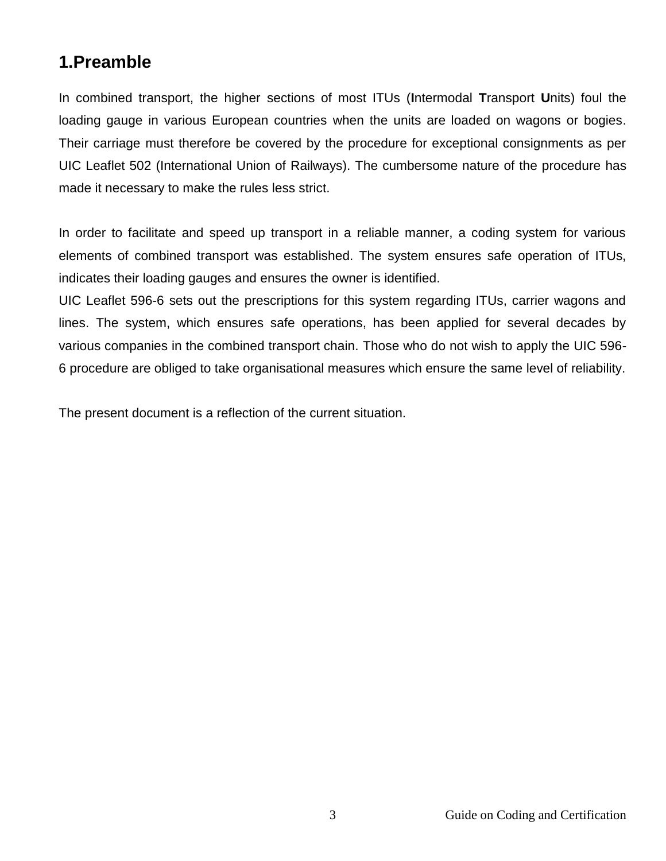## <span id="page-2-0"></span>**1.Preamble**

In combined transport, the higher sections of most ITUs (**I**ntermodal **T**ransport **U**nits) foul the loading gauge in various European countries when the units are loaded on wagons or bogies. Their carriage must therefore be covered by the procedure for exceptional consignments as per UIC Leaflet 502 (International Union of Railways). The cumbersome nature of the procedure has made it necessary to make the rules less strict.

In order to facilitate and speed up transport in a reliable manner, a coding system for various elements of combined transport was established. The system ensures safe operation of ITUs, indicates their loading gauges and ensures the owner is identified.

UIC Leaflet 596-6 sets out the prescriptions for this system regarding ITUs, carrier wagons and lines. The system, which ensures safe operations, has been applied for several decades by various companies in the combined transport chain. Those who do not wish to apply the UIC 596- 6 procedure are obliged to take organisational measures which ensure the same level of reliability.

The present document is a reflection of the current situation.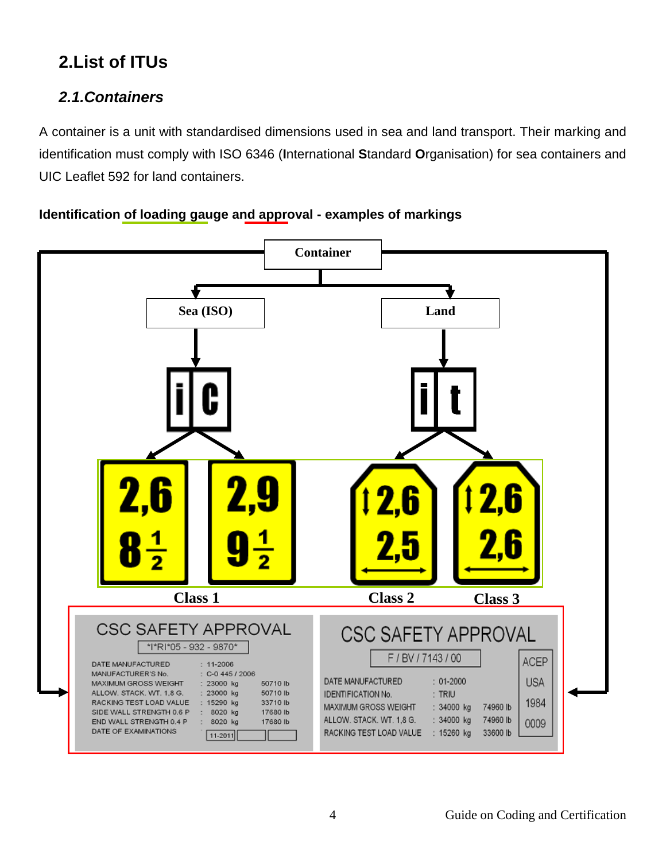## <span id="page-3-0"></span>**2.List of ITUs**

## <span id="page-3-1"></span>*2.1.Containers*

A container is a unit with standardised dimensions used in sea and land transport. Their marking and identification must comply with ISO 6346 (**I**nternational **S**tandard **O**rganisation) for sea containers and UIC Leaflet 592 for land containers.

#### **Identification of loading gauge and approval - examples of markings**

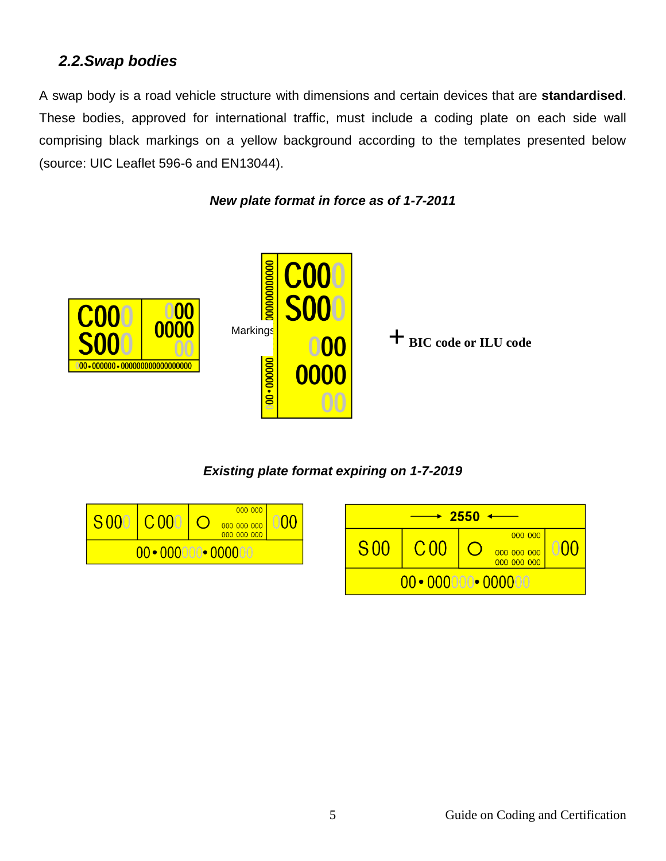#### <span id="page-4-0"></span>*2.2.Swap bodies*

A swap body is a road vehicle structure with dimensions and certain devices that are **standardised**. These bodies, approved for international traffic, must include a coding plate on each side wall comprising black markings on a yellow background according to the templates presented below (source: UIC Leaflet 596-6 and EN13044).

*New plate format in force as of 1-7-2011*





*Existing plate format expiring on 1-7-2019*

| S <sub>000</sub> | C <sub>000</sub>               | 000 000 <br>000000000 |  |                 |               | $-2550$ |                                       |    |
|------------------|--------------------------------|-----------------------|--|-----------------|---------------|---------|---------------------------------------|----|
|                  | $00 \cdot 000000 \cdot 000000$ | 000 000 000           |  | S <sub>00</sub> | $\cap$        |         | 000 000<br>000 000 000<br>000 000 000 | 00 |
|                  |                                |                       |  |                 | $00 - 000000$ |         | $\blacktriangleright$ 00000           |    |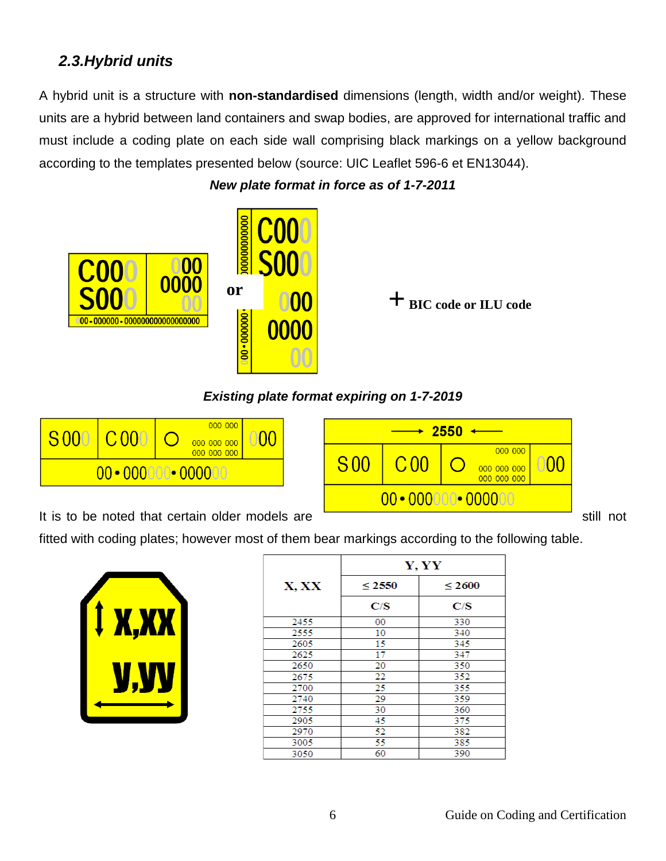## <span id="page-5-0"></span>*2.3.Hybrid units*

A hybrid unit is a structure with **non-standardised** dimensions (length, width and/or weight). These units are a hybrid between land containers and swap bodies, are approved for international traffic and must include a coding plate on each side wall comprising black markings on a yellow background according to the templates presented below (source: UIC Leaflet 596-6 et EN13044).



*New plate format in force as of 1-7-2011*

**+ BIC code or ILU code**

#### *Existing plate format expiring on 1-7-2019*





fitted with coding plates; however most of them bear markings according to the following table.



|       | Y, YY       |             |  |  |  |  |
|-------|-------------|-------------|--|--|--|--|
| X, XX | $\leq 2550$ | $\leq 2600$ |  |  |  |  |
|       | C/S         | C/S         |  |  |  |  |
| 2455  | 00          | 330         |  |  |  |  |
| 2555  | 10          | 340         |  |  |  |  |
| 2605  | 15          | 345         |  |  |  |  |
| 2625  | 17          | 347         |  |  |  |  |
| 2650  | 20          | 350         |  |  |  |  |
| 2675  | 22          | 352         |  |  |  |  |
| 2700  | 25          | 355         |  |  |  |  |
| 2740  | 29          | 359         |  |  |  |  |
| 2755  | 30          | 360         |  |  |  |  |
| 2905  | 45          | 375         |  |  |  |  |
| 2970  | 52          | 382         |  |  |  |  |
| 3005  | 55          | 385         |  |  |  |  |
| 3050  | 60          | 390         |  |  |  |  |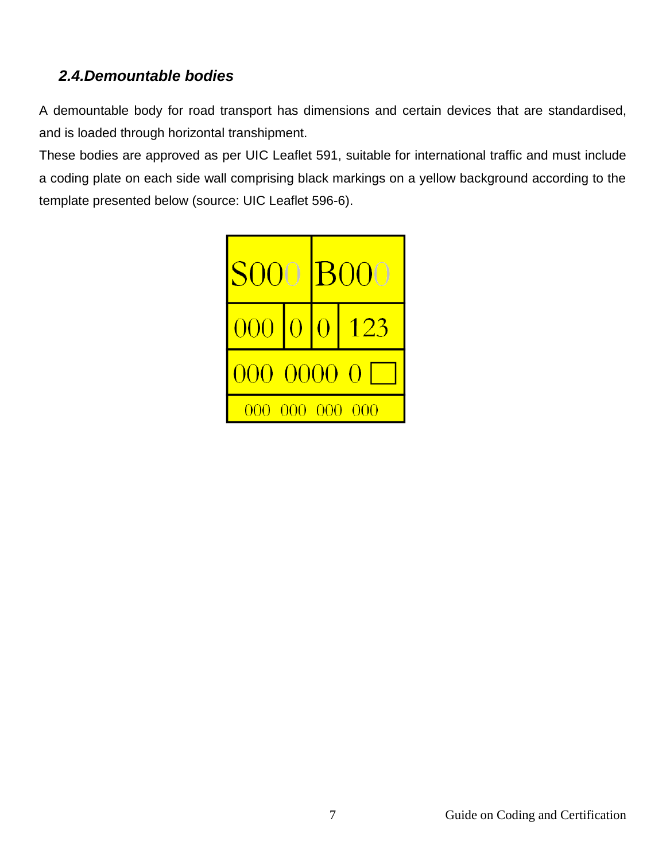## <span id="page-6-0"></span>*2.4.Demountable bodies*

A demountable body for road transport has dimensions and certain devices that are standardised, and is loaded through horizontal transhipment.

These bodies are approved as per UIC Leaflet 591, suitable for international traffic and must include a coding plate on each side wall comprising black markings on a yellow background according to the template presented below (source: UIC Leaflet 596-6).

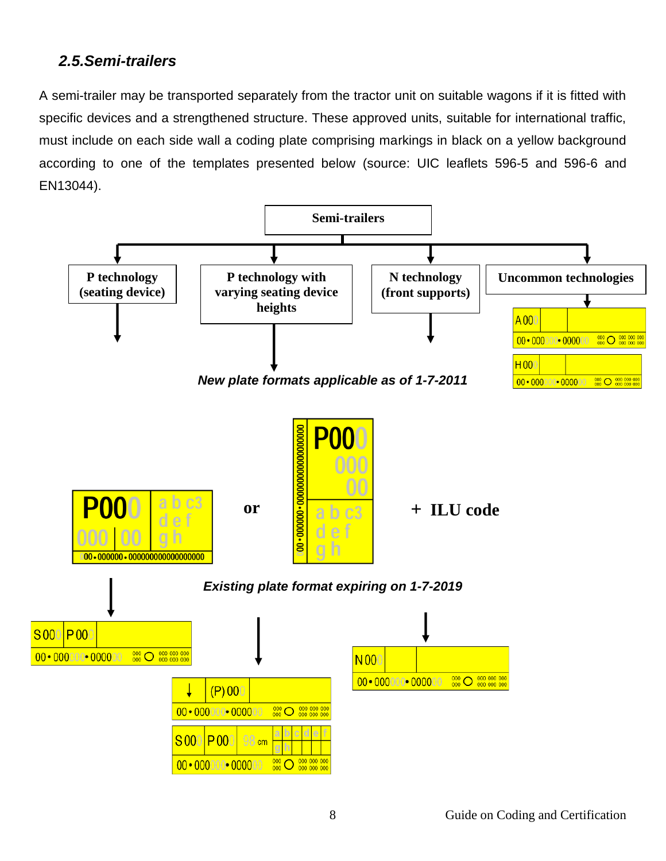#### <span id="page-7-0"></span>*2.5.Semi-trailers*

A semi-trailer may be transported separately from the tractor unit on suitable wagons if it is fitted with specific devices and a strengthened structure. These approved units, suitable for international traffic, must include on each side wall a coding plate comprising markings in black on a yellow background according to one of the templates presented below (source: UIC leaflets 596-5 and 596-6 and EN13044).

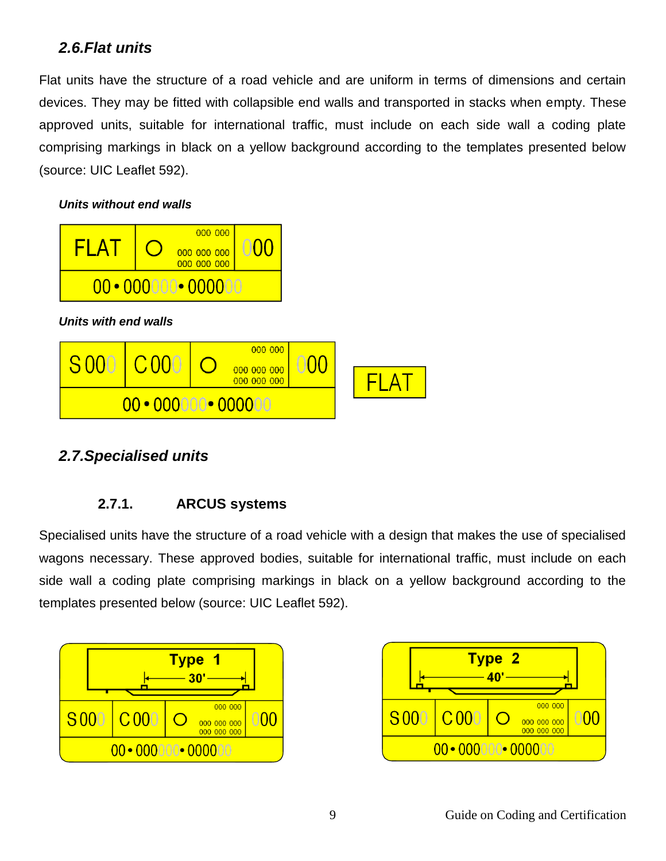#### <span id="page-8-0"></span>*2.6.Flat units*

Flat units have the structure of a road vehicle and are uniform in terms of dimensions and certain devices. They may be fitted with collapsible end walls and transported in stacks when empty. These approved units, suitable for international traffic, must include on each side wall a coding plate comprising markings in black on a yellow background according to the templates presented below (source: UIC Leaflet 592).

#### *Units without end walls*



#### <span id="page-8-2"></span><span id="page-8-1"></span>*2.7.Specialised units*

#### **2.7.1. ARCUS systems**

Specialised units have the structure of a road vehicle with a design that makes the use of specialised wagons necessary. These approved bodies, suitable for international traffic, must include on each side wall a coding plate comprising markings in black on a yellow background according to the templates presented below (source: UIC Leaflet 592).



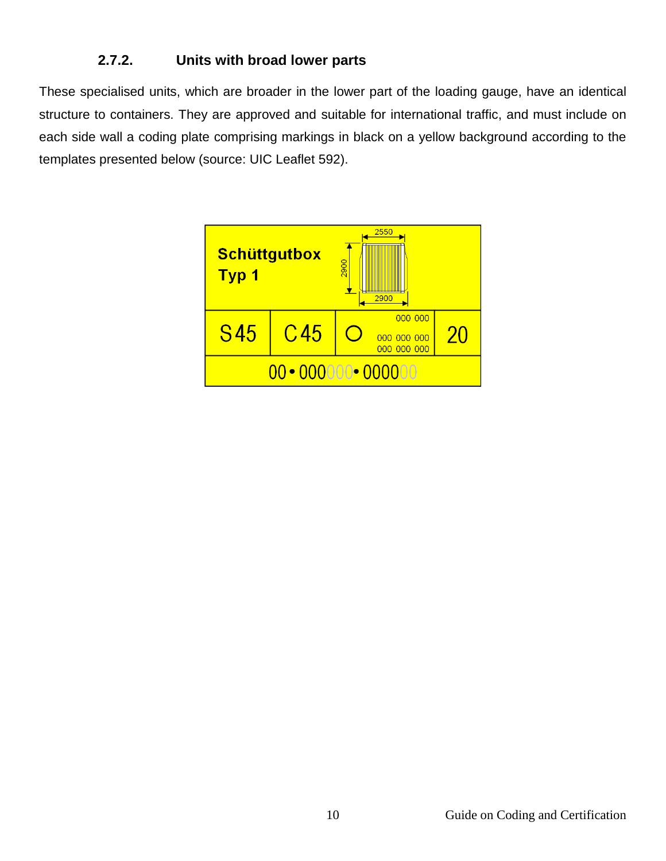#### **2.7.2. Units with broad lower parts**

<span id="page-9-0"></span>These specialised units, which are broader in the lower part of the loading gauge, have an identical structure to containers. They are approved and suitable for international traffic, and must include on each side wall a coding plate comprising markings in black on a yellow background according to the templates presented below (source: UIC Leaflet 592).

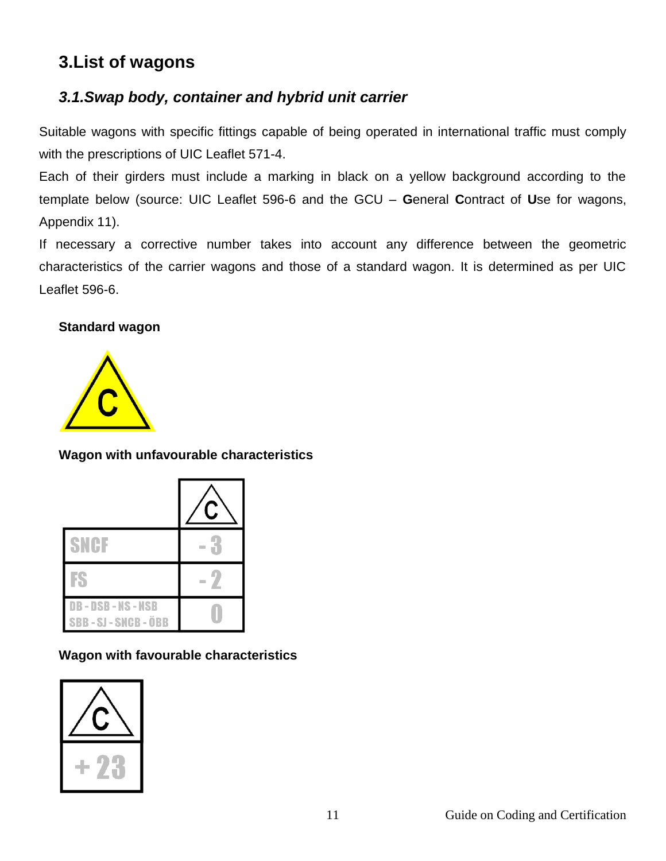## <span id="page-10-0"></span>**3.List of wagons**

### <span id="page-10-1"></span>*3.1.Swap body, container and hybrid unit carrier*

Suitable wagons with specific fittings capable of being operated in international traffic must comply with the prescriptions of UIC Leaflet 571-4.

Each of their girders must include a marking in black on a yellow background according to the template below (source: UIC Leaflet 596-6 and the GCU – **G**eneral **C**ontract of **U**se for wagons, Appendix 11).

If necessary a corrective number takes into account any difference between the geometric characteristics of the carrier wagons and those of a standard wagon. It is determined as per UIC Leaflet 596-6.

#### **Standard wagon**



#### **Wagon with unfavourable characteristics**

| SNGF                                           |  |
|------------------------------------------------|--|
| К                                              |  |
| <b>DB-DSB-NS-NSB</b><br><b>SBB-SJ-SNCB-ÖBB</b> |  |

**Wagon with favourable characteristics**

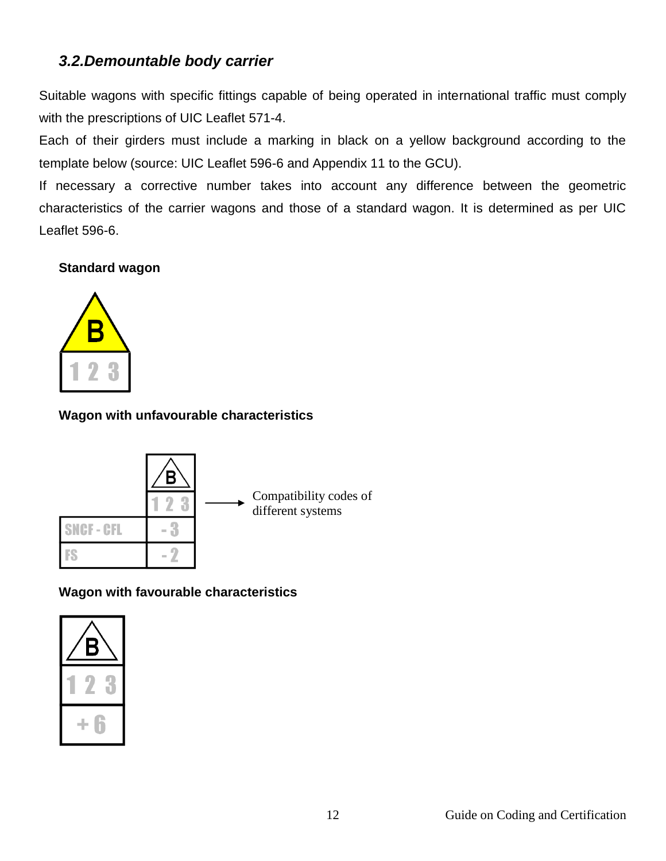#### <span id="page-11-0"></span>*3.2.Demountable body carrier*

Suitable wagons with specific fittings capable of being operated in international traffic must comply with the prescriptions of UIC Leaflet 571-4.

Each of their girders must include a marking in black on a yellow background according to the template below (source: UIC Leaflet 596-6 and Appendix 11 to the GCU).

If necessary a corrective number takes into account any difference between the geometric characteristics of the carrier wagons and those of a standard wagon. It is determined as per UIC Leaflet 596-6.

#### **Standard wagon**



#### **Wagon with unfavourable characteristics**



#### **Wagon with favourable characteristics**

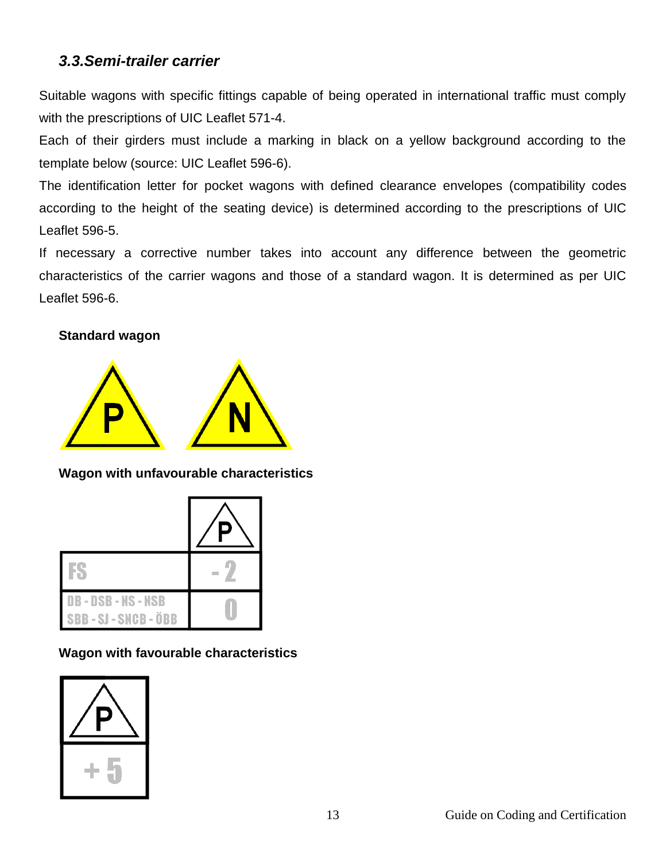#### <span id="page-12-0"></span>*3.3.Semi-trailer carrier*

Suitable wagons with specific fittings capable of being operated in international traffic must comply with the prescriptions of UIC Leaflet 571-4.

Each of their girders must include a marking in black on a yellow background according to the template below (source: UIC Leaflet 596-6).

The identification letter for pocket wagons with defined clearance envelopes (compatibility codes according to the height of the seating device) is determined according to the prescriptions of UIC Leaflet 596-5.

If necessary a corrective number takes into account any difference between the geometric characteristics of the carrier wagons and those of a standard wagon. It is determined as per UIC Leaflet 596-6.

#### **Standard wagon**



#### **Wagon with unfavourable characteristics**

| DB - DSB - NS - NSB<br>SBB - SJ - SNCB - ÖBB |  |
|----------------------------------------------|--|

**Wagon with favourable characteristics**

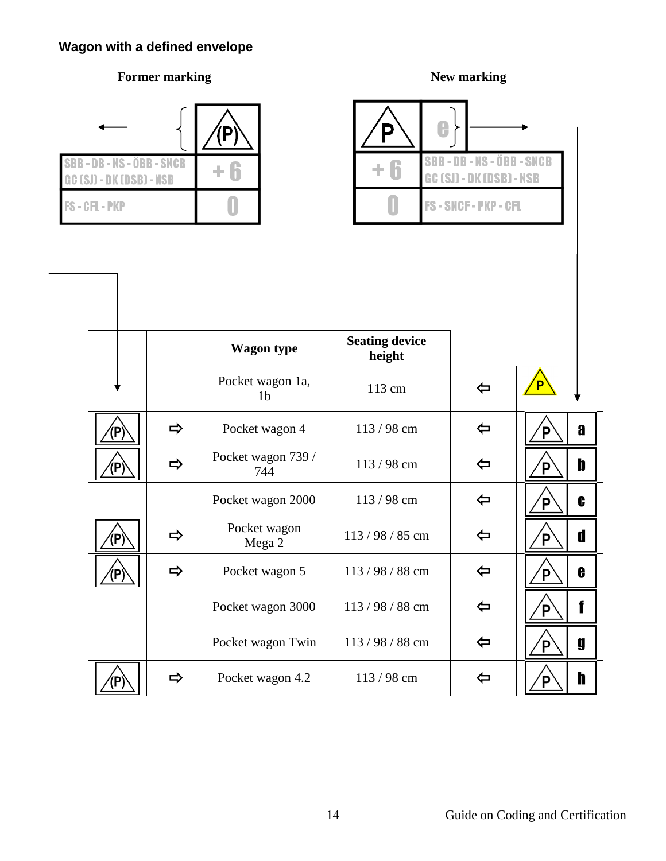## **Wagon with a defined envelope**

#### **Former marking New marking New marking**

0

P



⁄P)

| IB - NS - ÖBB - SNCB<br>I - DK (DSB) - NSB |               | $+6$                               | $+6$                            | <b>SBB-DB-NS-ÖBB-SNCB</b><br><b>GC (SJ) - DK (DSB) - NSB</b> |        |
|--------------------------------------------|---------------|------------------------------------|---------------------------------|--------------------------------------------------------------|--------|
| L - PKP                                    |               |                                    |                                 | FS-SNCF-PKP-CFL                                              |        |
|                                            |               |                                    |                                 |                                                              |        |
|                                            |               |                                    |                                 |                                                              |        |
|                                            |               |                                    |                                 |                                                              |        |
|                                            |               | <b>Wagon type</b>                  | <b>Seating device</b><br>height |                                                              |        |
|                                            |               | Pocket wagon 1a,<br>1 <sub>b</sub> | 113 cm                          | ⇦                                                            | P      |
| $\left( \mathsf{P}\right)$                 | $\Rightarrow$ | Pocket wagon 4                     | 113/98 cm                       | $\Leftrightarrow$                                            | a<br>P |
| (P)                                        | $\Rightarrow$ | Pocket wagon 739 /<br>744          | 113/98 cm                       | $\Leftrightarrow$                                            | b<br>P |
|                                            |               | Pocket wagon 2000                  | 113/98 cm                       | $\Leftrightarrow$                                            | C<br>Έ |
| $\left( {\mathsf P} \right)$               | $\Rightarrow$ | Pocket wagon<br>Mega 2             | 113/98/85 cm                    | $\Leftrightarrow$                                            | d<br>P |
| (P)                                        | $\Rightarrow$ | Pocket wagon 5                     | 113/98/88 cm                    | $\Leftrightarrow$                                            | e<br>Έ |
|                                            |               | Pocket wagon 3000                  | 113/98/88 cm                    | $\Leftrightarrow$                                            | f<br>P |
|                                            |               | Pocket wagon Twin                  | 113/98/88 cm                    | $\Leftrightarrow$                                            | g<br>P |
|                                            |               |                                    |                                 |                                                              |        |

 $\sqrt{}$ P $\,$ 

h

 $\Rightarrow$  Pocket wagon 4.2 113 / 98 cm  $\Rightarrow$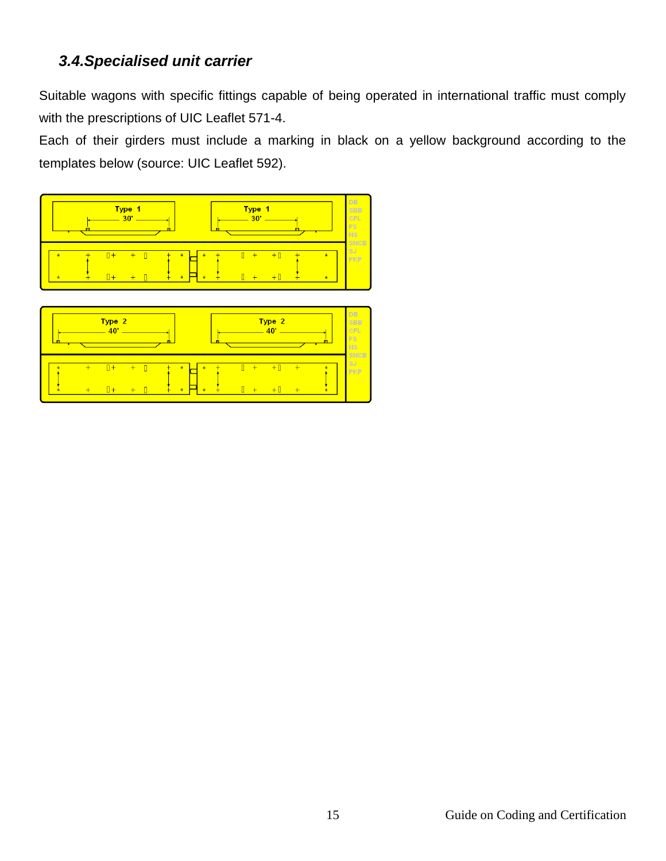#### <span id="page-14-0"></span>*3.4.Specialised unit carrier*

Suitable wagons with specific fittings capable of being operated in international traffic must comply with the prescriptions of UIC Leaflet 571-4.

Each of their girders must include a marking in black on a yellow background according to the templates below (source: UIC Leaflet 592).



| п |     | Type 2<br>40'         |            |                                          |   |          | Type 2<br>10' |          |              | DB<br><b>SBB</b><br><b>CFL</b><br>FS<br><b>NS</b> |
|---|-----|-----------------------|------------|------------------------------------------|---|----------|---------------|----------|--------------|---------------------------------------------------|
| ÷ | $+$ | $\overline{u}$<br>$+$ | $\pm$<br>┹ | $\star$<br>$\star$<br>$\star$<br>$\star$ | + | ٠<br>$+$ | $+$<br>┺      | $+$<br>- | ÷<br>$\star$ | <b>SNCB</b><br>SJ<br><b>PKP</b>                   |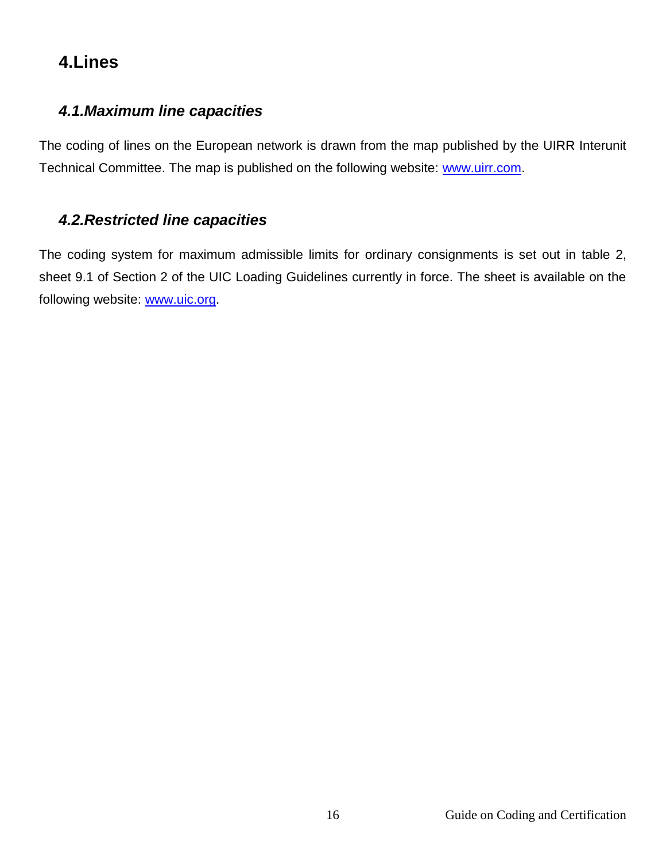## <span id="page-15-0"></span>**4.Lines**

#### <span id="page-15-1"></span>*4.1.Maximum line capacities*

The coding of lines on the European network is drawn from the map published by the UIRR Interunit Technical Committee. The map is published on the following website: [www.uirr.com.](http://www.uirr.com/)

#### <span id="page-15-2"></span>*4.2.Restricted line capacities*

The coding system for maximum admissible limits for ordinary consignments is set out in table 2, sheet 9.1 of Section 2 of the UIC Loading Guidelines currently in force. The sheet is available on the following website: [www.uic.org.](http://www.uic.org/)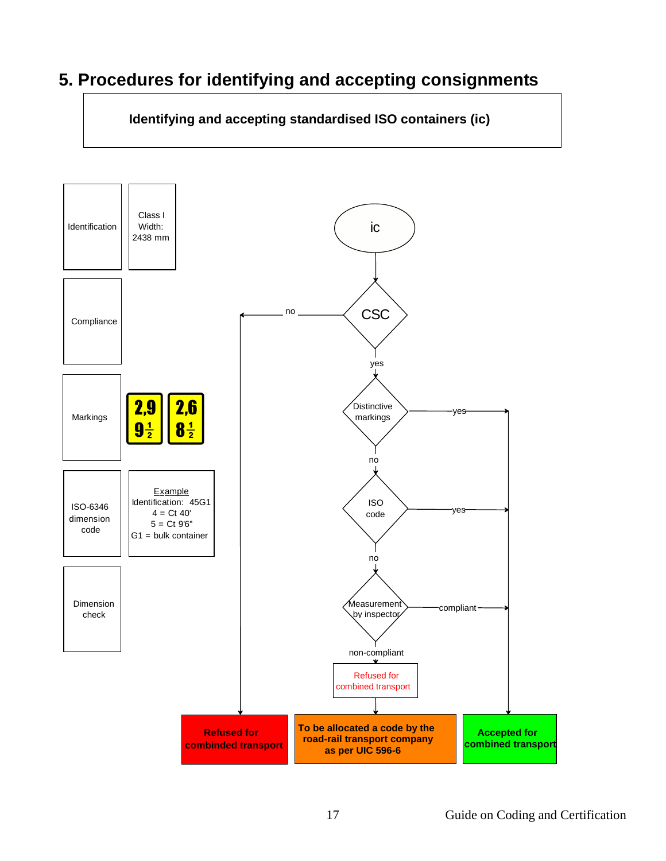## <span id="page-16-0"></span>**5. Procedures for identifying and accepting consignments**

**Identifying and accepting standardised ISO containers (ic)**

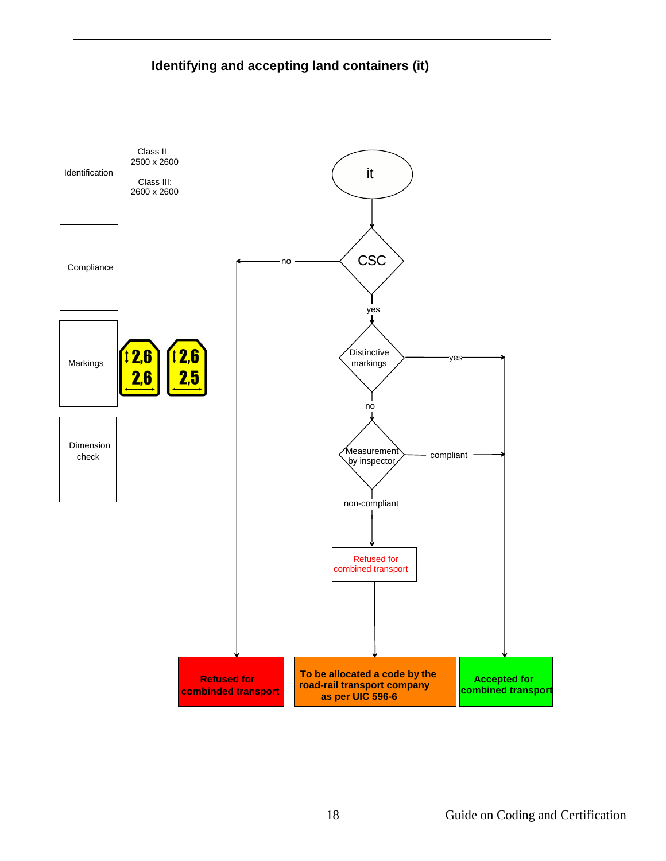#### **Identifying and accepting land containers (it)**

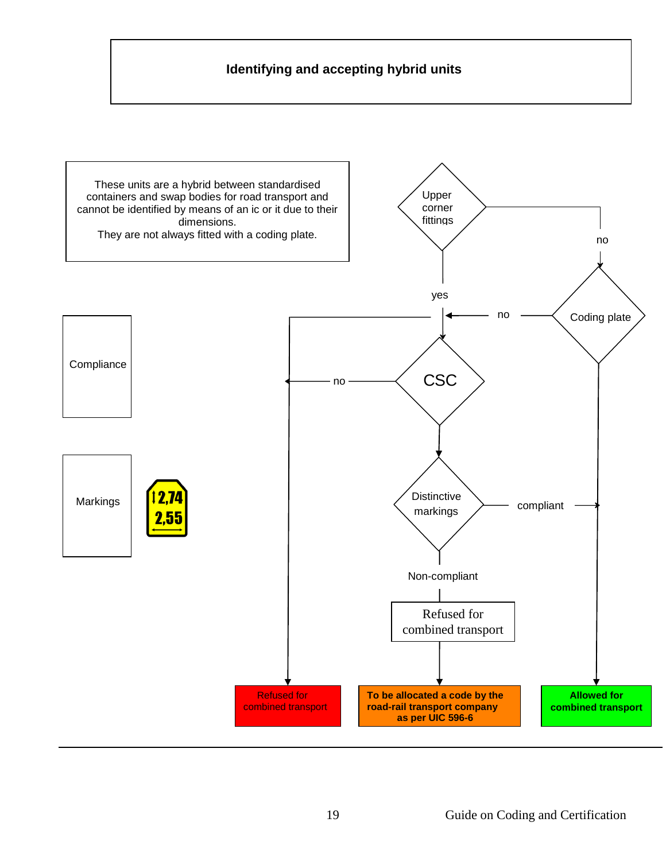#### **Identifying and accepting hybrid units**

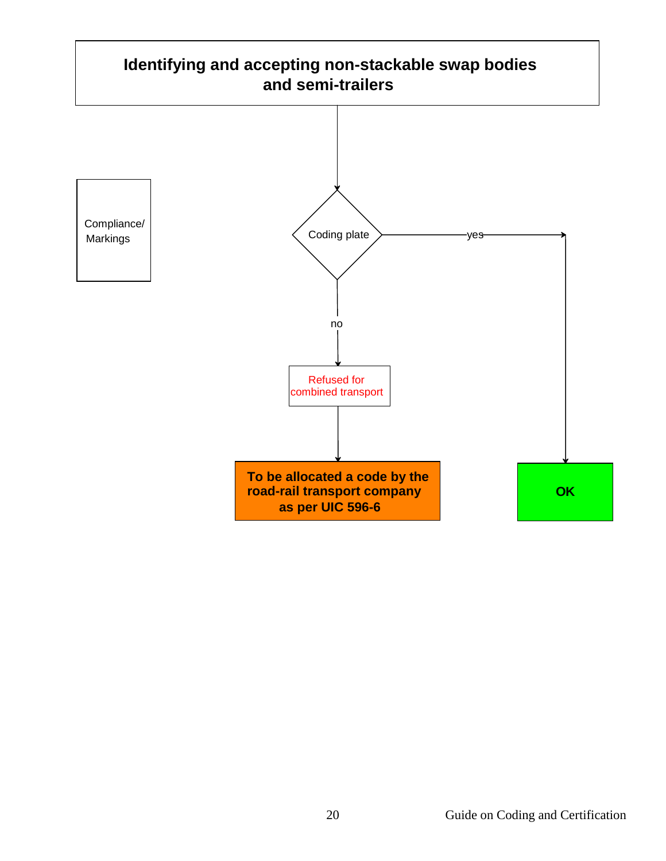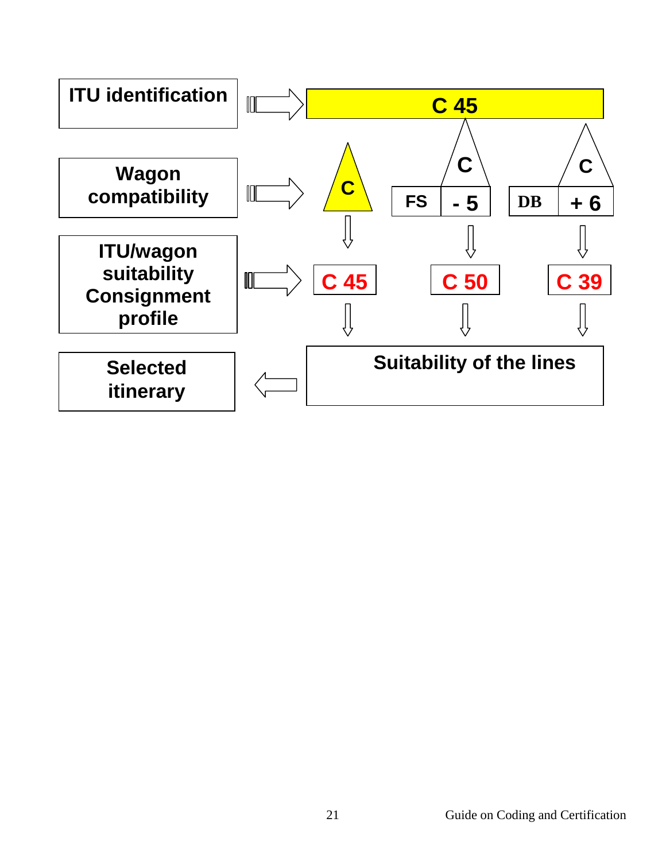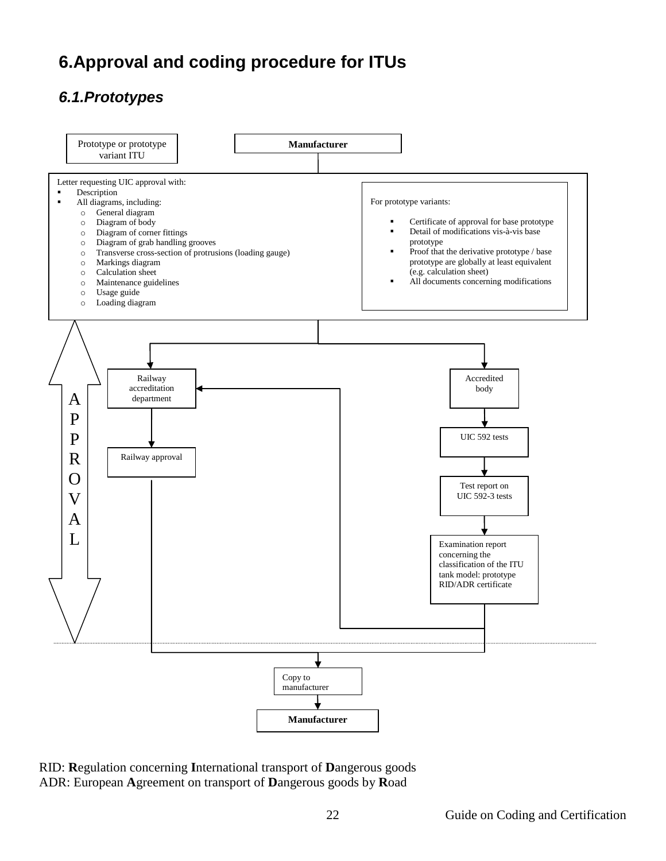## <span id="page-21-0"></span>**6.Approval and coding procedure for ITUs**

## <span id="page-21-1"></span>*6.1.Prototypes*



RID: **R**egulation concerning **I**nternational transport of **D**angerous goods ADR: European **A**greement on transport of **D**angerous goods by **R**oad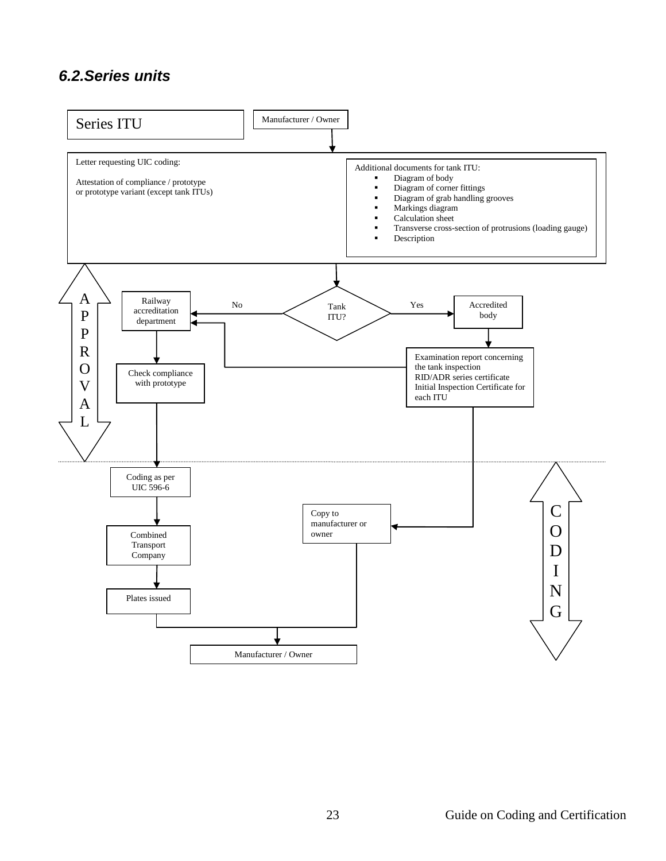#### <span id="page-22-0"></span>*6.2.Series units*

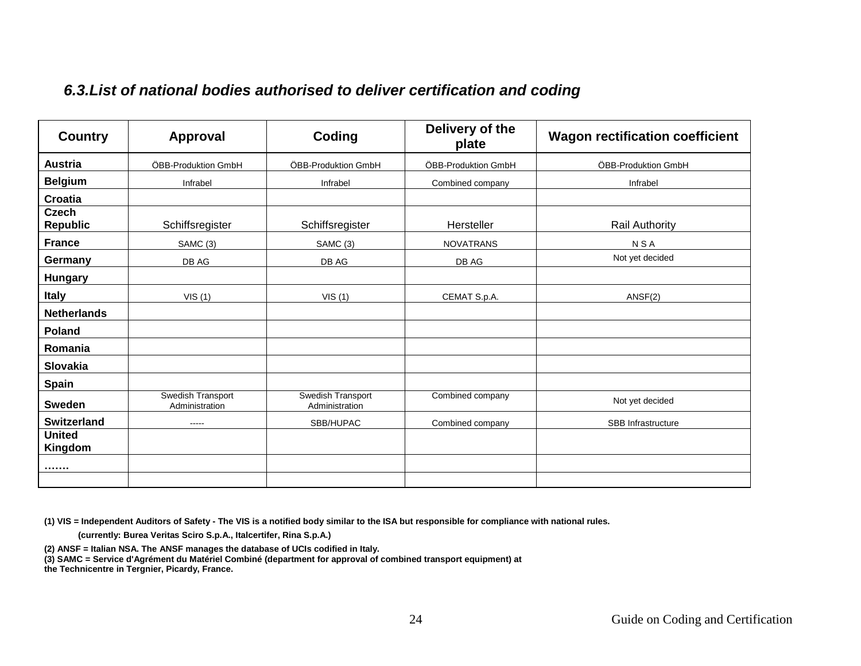## *6.3.List of national bodies authorised to deliver certification and coding*

<span id="page-23-0"></span>

| <b>Country</b>                  | <b>Approval</b>                     | Coding                              | Delivery of the<br>plate | <b>Wagon rectification coefficient</b> |
|---------------------------------|-------------------------------------|-------------------------------------|--------------------------|----------------------------------------|
| Austria                         | ÖBB-Produktion GmbH                 | ÖBB-Produktion GmbH                 | ÖBB-Produktion GmbH      | ÖBB-Produktion GmbH                    |
| <b>Belgium</b>                  | Infrabel                            | Infrabel                            | Combined company         | Infrabel                               |
| Croatia                         |                                     |                                     |                          |                                        |
| <b>Czech</b><br><b>Republic</b> | Schiffsregister                     | Schiffsregister                     | Hersteller               | Rail Authority                         |
| <b>France</b>                   | SAMC (3)                            | SAMC (3)                            | <b>NOVATRANS</b>         | <b>NSA</b>                             |
| Germany                         | DB AG                               | DB AG                               | DB AG                    | Not yet decided                        |
| <b>Hungary</b>                  |                                     |                                     |                          |                                        |
| <b>Italy</b>                    | VIS(1)                              | VIS(1)                              | CEMAT S.p.A.             | ANSF(2)                                |
| <b>Netherlands</b>              |                                     |                                     |                          |                                        |
| Poland                          |                                     |                                     |                          |                                        |
| Romania                         |                                     |                                     |                          |                                        |
| Slovakia                        |                                     |                                     |                          |                                        |
| <b>Spain</b>                    |                                     |                                     |                          |                                        |
| <b>Sweden</b>                   | Swedish Transport<br>Administration | Swedish Transport<br>Administration | Combined company         | Not yet decided                        |
| <b>Switzerland</b>              | $- - - -$                           | SBB/HUPAC                           | Combined company         | SBB Infrastructure                     |
| <b>United</b><br>Kingdom        |                                     |                                     |                          |                                        |
|                                 |                                     |                                     |                          |                                        |
|                                 |                                     |                                     |                          |                                        |

**(1) VIS = Independent Auditors of Safety - The VIS is a notified body similar to the ISA but responsible for compliance with national rules.**

 **(currently: Burea Veritas Sciro S.p.A., Italcertifer, Rina S.p.A.)**

**(2) ANSF = Italian NSA. The ANSF manages the database of UCIs codified in Italy.**

**(3) SAMC = Service d'Agrément du Matériel Combiné (department for approval of combined transport equipment) at** 

**the Technicentre in Tergnier, Picardy, France.**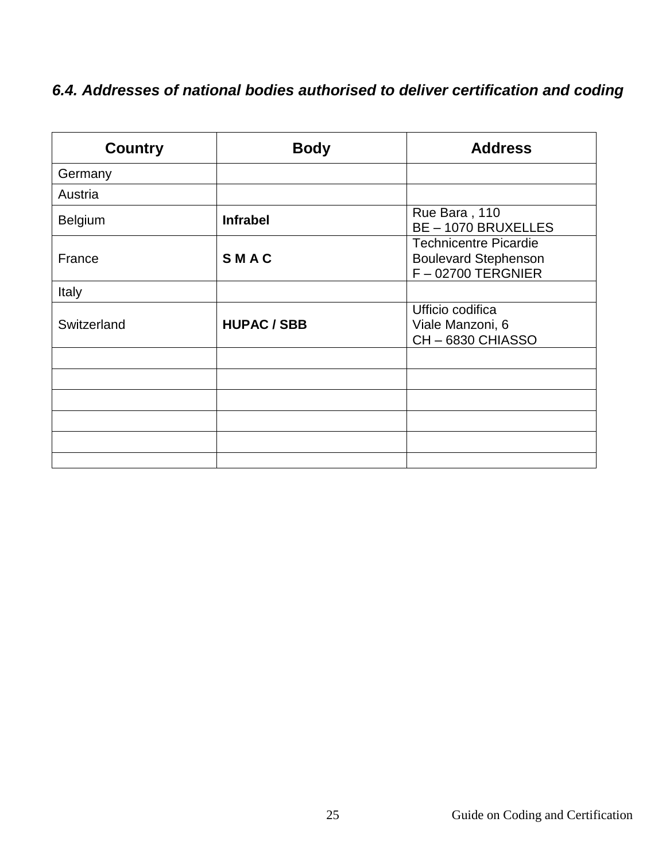## <span id="page-24-0"></span>*6.4. Addresses of national bodies authorised to deliver certification and coding*

| <b>Country</b> | <b>Body</b>        | <b>Address</b>                                                                      |
|----------------|--------------------|-------------------------------------------------------------------------------------|
| Germany        |                    |                                                                                     |
| Austria        |                    |                                                                                     |
| <b>Belgium</b> | <b>Infrabel</b>    | Rue Bara, 110<br><b>BE-1070 BRUXELLES</b>                                           |
| France         | SMAC               | <b>Technicentre Picardie</b><br><b>Boulevard Stephenson</b><br>$F - 02700$ TERGNIER |
| Italy          |                    |                                                                                     |
| Switzerland    | <b>HUPAC / SBB</b> | Ufficio codifica<br>Viale Manzoni, 6<br>CH-6830 CHIASSO                             |
|                |                    |                                                                                     |
|                |                    |                                                                                     |
|                |                    |                                                                                     |
|                |                    |                                                                                     |
|                |                    |                                                                                     |
|                |                    |                                                                                     |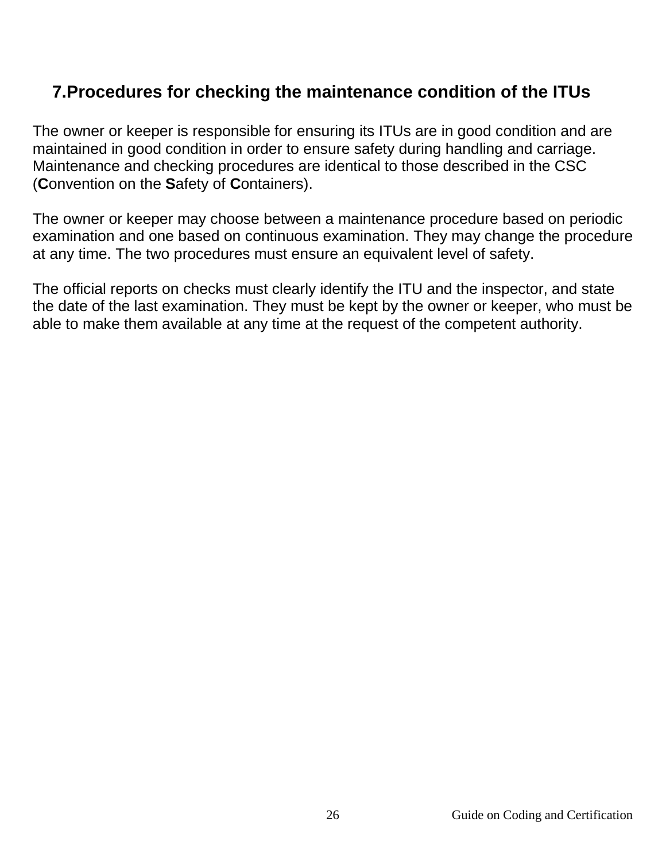## <span id="page-25-0"></span>**7.Procedures for checking the maintenance condition of the ITUs**

The owner or keeper is responsible for ensuring its ITUs are in good condition and are maintained in good condition in order to ensure safety during handling and carriage. Maintenance and checking procedures are identical to those described in the CSC (**C**onvention on the **S**afety of **C**ontainers).

The owner or keeper may choose between a maintenance procedure based on periodic examination and one based on continuous examination. They may change the procedure at any time. The two procedures must ensure an equivalent level of safety.

The official reports on checks must clearly identify the ITU and the inspector, and state the date of the last examination. They must be kept by the owner or keeper, who must be able to make them available at any time at the request of the competent authority.